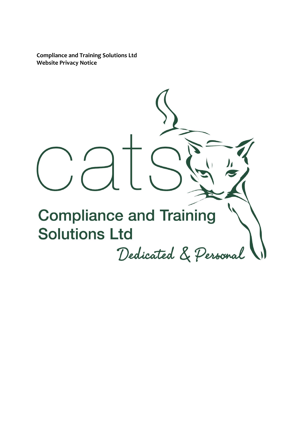**Compliance and Training Solutions Ltd Website Privacy Notice**

**Compliance and Training Solutions Ltd** Dedicated & Personal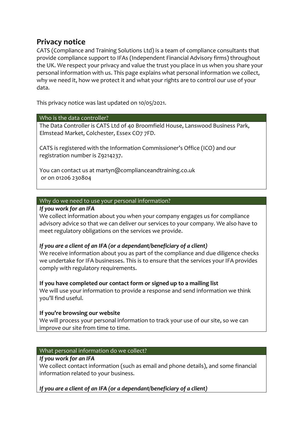# **Privacy notice**

CATS (Compliance and Training Solutions Ltd) is a team of compliance consultants that provide compliance support to IFAs (Independent Financial Advisory firms) throughout the UK. We respect your privacy and value the trust you place in us when you share your personal information with us. This page explains what personal information we collect, why we need it, how we protect it and what your rights are to control our use of your data.

This privacy notice was last updated on 10/05/2021.

# Who is the data controller?

The Data Controller is CATS Ltd of 40 Broomfield House, Lanswood Business Park, Elmstead Market, Colchester, Essex CO7 7FD.

CATS is registered with the Information Commissioner's Office (ICO) and our registration number is Z9214237.

You can contact us at martyn@complianceandtraining.co.uk or on 01206 230804

# Why do we need to use your personal information?

#### *If you work for an IFA*

We collect information about you when your company engages us for compliance advisory advice so that we can deliver our services to your company. We also have to meet regulatory obligations on the services we provide.

# *If you are a client of an IFA (or a dependant/beneficiary of a client)*

We receive information about you as part of the compliance and due diligence checks we undertake for IFA businesses. This is to ensure that the services your IFA provides comply with regulatory requirements.

**If you have completed our contact form or signed up to a mailing list**

We will use your information to provide a response and send information we think you'll find useful.

# **If you're browsing our website**

We will process your personal information to track your use of our site, so we can improve our site from time to time.

# What personal information do we collect?

# *If you work for an IFA*

We collect contact information (such as email and phone details), and some financial information related to your business.

*If you are a client of an IFA (or a dependant/beneficiary of a client)*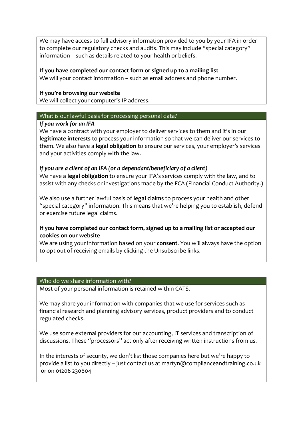We may have access to full advisory information provided to you by your IFA in order to complete our regulatory checks and audits. This may include "special category" information – such as details related to your health or beliefs.

# **If you have completed our contact form or signed up to a mailing list**

We will your contact information – such as email address and phone number.

## **If you're browsing our website**

We will collect your computer's IP address.

#### What is our lawful basis for processing personal data?

## *If you work for an IFA*

We have a contract with your employer to deliver services to them and it's in our **legitimate interests** to process your information so that we can deliver our services to them. We also have a **legal obligation** to ensure our services, your employer's services and your activities comply with the law.

# *If you are a client of an IFA (or a dependant/beneficiary of a client)*

We have a **legal obligation** to ensure your IFA's services comply with the law, and to assist with any checks or investigations made by the FCA (Financial Conduct Authority.)

We also use a further lawful basis of **legal claims** to process your health and other "special category" information. This means that we're helping you to establish, defend or exercise future legal claims.

# **If you have completed our contact form, signed up to a mailing list or accepted our cookies on our website**

We are using your information based on your **consent**. You will always have the option to opt out of receiving emails by clicking the Unsubscribe links.

### Who do we share information with?

Most of your personal information is retained within CATS.

We may share your information with companies that we use for services such as financial research and planning advisory services, product providers and to conduct regulated checks.

We use some external providers for our accounting, IT services and transcription of discussions. These "processors" act only after receiving written instructions from us.

In the interests of security, we don't list those companies here but we're happy to provide a list to you directly – just contact us at martyn@complianceandtraining.co.uk or on 01206 230804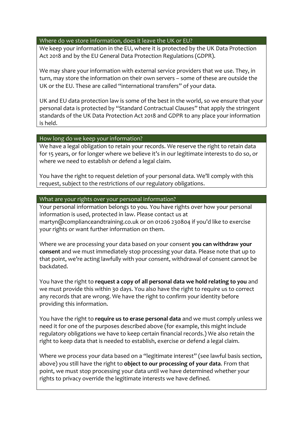# Where do we store information, does it leave the UK or EU?

We keep your information in the EU, where it is protected by the UK Data Protection Act 2018 and by the EU General Data Protection Regulations (GDPR).

We may share your information with external service providers that we use. They, in turn, may store the information on their own servers – some of these are outside the UK or the EU. These are called "international transfers" of your data.

UK and EU data protection law is some of the best in the world, so we ensure that your personal data is protected by "Standard Contractual Clauses" that apply the stringent standards of the UK Data Protection Act 2018 and GDPR to any place your information is held.

#### How long do we keep your information?

We have a legal obligation to retain your records. We reserve the right to retain data for 15 years, or for longer where we believe it's in our legitimate interests to do so, or where we need to establish or defend a legal claim.

You have the right to request deletion of your personal data. We'll comply with this request, subject to the restrictions of our regulatory obligations.

#### What are your rights over your personal information?

Your personal information belongs to you. You have rights over how your personal information is used, protected in law. Please contact us at martyn@complianceandtraining.co.uk or on 01206 230804 if you'd like to exercise your rights or want further information on them.

Where we are processing your data based on your consent **you can withdraw your consent** and we must immediately stop processing your data. Please note that up to that point, we're acting lawfully with your consent, withdrawal of consent cannot be backdated.

You have the right to **request a copy of all personal data we hold relating to you** and we must provide this within 30 days. You also have the right to require us to correct any records that are wrong. We have the right to confirm your identity before providing this information.

You have the right to **require us to erase personal data** and we must comply unless we need it for one of the purposes described above (for example, this might include regulatory obligations we have to keep certain financial records.) We also retain the right to keep data that is needed to establish, exercise or defend a legal claim.

Where we process your data based on a "legitimate interest" (see lawful basis section, above) you still have the right to **object to our processing of your data**. From that point, we must stop processing your data until we have determined whether your rights to privacy override the legitimate interests we have defined.